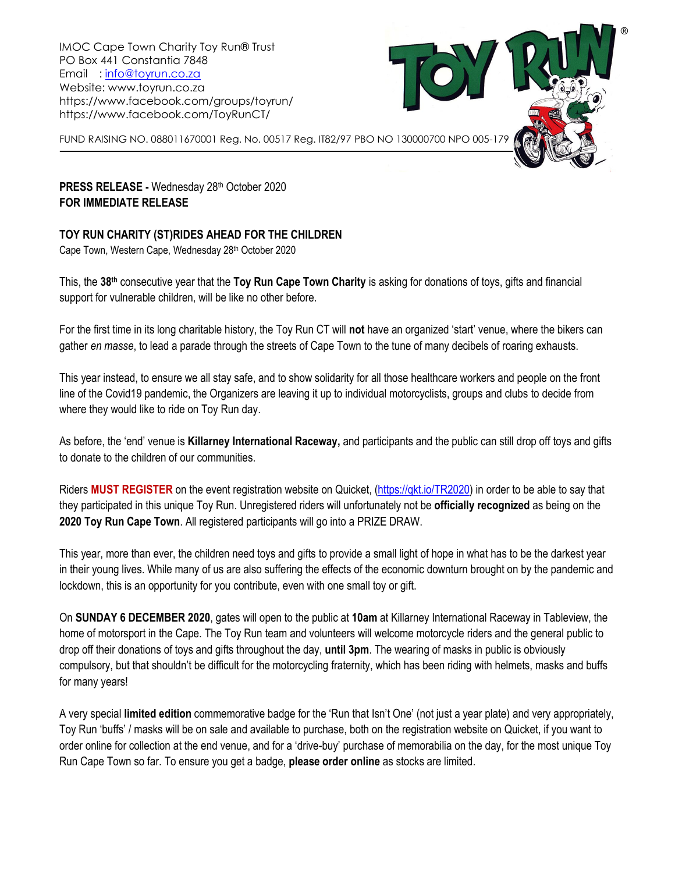IMOC Cape Town Charity Toy Run® Trust PO Box 441 Constantia 7848 Email : [info@toyrun.co.za](mailto:info@toyrun.co.za) Website: www.toyrun.co.za https://www.facebook.com/groups/toyrun/ https://www.facebook.com/ToyRunCT/



**PRESS RELEASE -** Wednesday 28th October 2020 **FOR IMMEDIATE RELEASE**

## **TOY RUN CHARITY (ST)RIDES AHEAD FOR THE CHILDREN**

Cape Town, Western Cape, Wednesday 28th October 2020

This, the **38th** consecutive year that the **Toy Run Cape Town Charity** is asking for donations of toys, gifts and financial support for vulnerable children, will be like no other before.

For the first time in its long charitable history, the Toy Run CT will **not** have an organized 'start' venue, where the bikers can gather *en masse*, to lead a parade through the streets of Cape Town to the tune of many decibels of roaring exhausts.

This year instead, to ensure we all stay safe, and to show solidarity for all those healthcare workers and people on the front line of the Covid19 pandemic, the Organizers are leaving it up to individual motorcyclists, groups and clubs to decide from where they would like to ride on Toy Run day.

As before, the 'end' venue is **Killarney International Raceway,** and participants and the public can still drop off toys and gifts to donate to the children of our communities.

Riders **MUST REGISTER** on the event registration website on Quicket, [\(https://qkt.io/TR2020\)](https://qkt.io/TR2020) in order to be able to say that they participated in this unique Toy Run. Unregistered riders will unfortunately not be **officially recognized** as being on the **2020 Toy Run Cape Town**. All registered participants will go into a PRIZE DRAW.

This year, more than ever, the children need toys and gifts to provide a small light of hope in what has to be the darkest year in their young lives. While many of us are also suffering the effects of the economic downturn brought on by the pandemic and lockdown, this is an opportunity for you contribute, even with one small toy or gift.

On **SUNDAY 6 DECEMBER 2020**, gates will open to the public at **10am** at Killarney International Raceway in Tableview, the home of motorsport in the Cape. The Toy Run team and volunteers will welcome motorcycle riders and the general public to drop off their donations of toys and gifts throughout the day, **until 3pm**. The wearing of masks in public is obviously compulsory, but that shouldn't be difficult for the motorcycling fraternity, which has been riding with helmets, masks and buffs for many years!

A very special **limited edition** commemorative badge for the 'Run that Isn't One' (not just a year plate) and very appropriately, Toy Run 'buffs' / masks will be on sale and available to purchase, both on the registration website on Quicket, if you want to order online for collection at the end venue, and for a 'drive-buy' purchase of memorabilia on the day, for the most unique Toy Run Cape Town so far. To ensure you get a badge, **please order online** as stocks are limited.